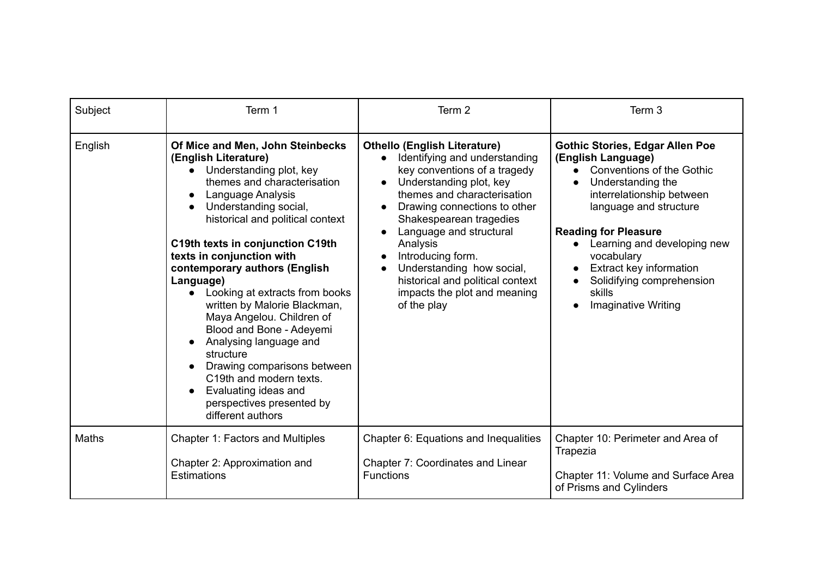| Subject      | Term 1                                                                                                                                                                                                                                                                                                                                                                                                                                                                                                                                                                                                                                                | Term <sub>2</sub>                                                                                                                                                                                                                                                                                                                                                                                                  | Term 3                                                                                                                                                                                                                                                                                                                                                           |
|--------------|-------------------------------------------------------------------------------------------------------------------------------------------------------------------------------------------------------------------------------------------------------------------------------------------------------------------------------------------------------------------------------------------------------------------------------------------------------------------------------------------------------------------------------------------------------------------------------------------------------------------------------------------------------|--------------------------------------------------------------------------------------------------------------------------------------------------------------------------------------------------------------------------------------------------------------------------------------------------------------------------------------------------------------------------------------------------------------------|------------------------------------------------------------------------------------------------------------------------------------------------------------------------------------------------------------------------------------------------------------------------------------------------------------------------------------------------------------------|
| English      | Of Mice and Men, John Steinbecks<br>(English Literature)<br>• Understanding plot, key<br>themes and characterisation<br>Language Analysis<br>$\bullet$<br>Understanding social,<br>$\bullet$<br>historical and political context<br>C19th texts in conjunction C19th<br>texts in conjunction with<br>contemporary authors (English<br>Language)<br>Looking at extracts from books<br>written by Malorie Blackman,<br>Maya Angelou. Children of<br>Blood and Bone - Adeyemi<br>Analysing language and<br>structure<br>Drawing comparisons between<br>C19th and modern texts.<br>Evaluating ideas and<br>perspectives presented by<br>different authors | <b>Othello (English Literature)</b><br>Identifying and understanding<br>$\bullet$<br>key conventions of a tragedy<br>Understanding plot, key<br>themes and characterisation<br>Drawing connections to other<br>Shakespearean tragedies<br>Language and structural<br>Analysis<br>Introducing form.<br>Understanding how social,<br>historical and political context<br>impacts the plot and meaning<br>of the play | <b>Gothic Stories, Edgar Allen Poe</b><br>(English Language)<br>• Conventions of the Gothic<br>Understanding the<br>interrelationship between<br>language and structure<br><b>Reading for Pleasure</b><br>Learning and developing new<br>$\bullet$<br>vocabulary<br>Extract key information<br>Solidifying comprehension<br>skills<br><b>Imaginative Writing</b> |
| <b>Maths</b> | Chapter 1: Factors and Multiples<br>Chapter 2: Approximation and<br>Estimations                                                                                                                                                                                                                                                                                                                                                                                                                                                                                                                                                                       | Chapter 6: Equations and Inequalities<br>Chapter 7: Coordinates and Linear<br><b>Functions</b>                                                                                                                                                                                                                                                                                                                     | Chapter 10: Perimeter and Area of<br>Trapezia<br>Chapter 11: Volume and Surface Area<br>of Prisms and Cylinders                                                                                                                                                                                                                                                  |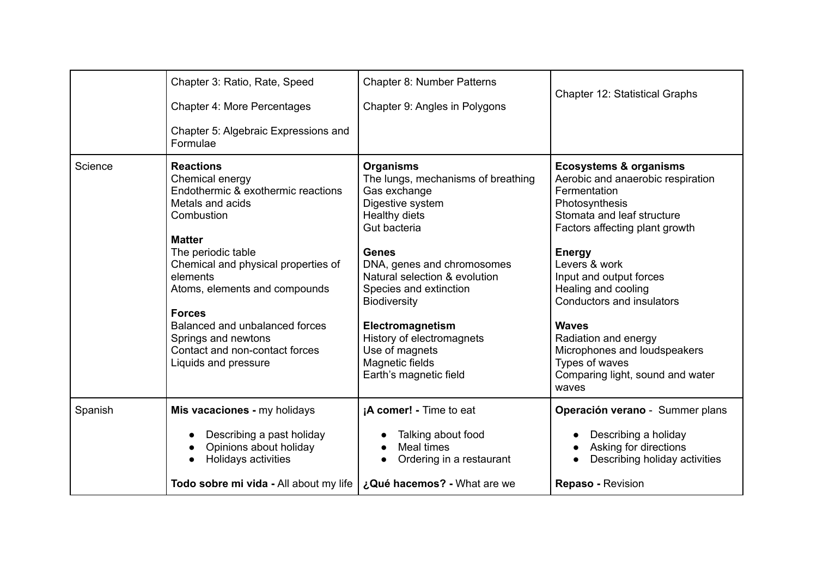|         | Todo sobre mi vida - All about my life                                                                                           | ¿Qué hacemos? - What are we                                                                                                  | <b>Repaso - Revision</b>                                                                                                                                                 |
|---------|----------------------------------------------------------------------------------------------------------------------------------|------------------------------------------------------------------------------------------------------------------------------|--------------------------------------------------------------------------------------------------------------------------------------------------------------------------|
| Spanish | Mis vacaciones - my holidays<br>Describing a past holiday<br>$\bullet$<br>Opinions about holiday<br>Holidays activities          | ¡A comer! - Time to eat<br>Talking about food<br>Meal times<br>Ordering in a restaurant                                      | Operación verano - Summer plans<br>Describing a holiday<br>Asking for directions<br>Describing holiday activities                                                        |
|         | <b>Forces</b><br>Balanced and unbalanced forces<br>Springs and newtons<br>Contact and non-contact forces<br>Liquids and pressure | Electromagnetism<br>History of electromagnets<br>Use of magnets<br>Magnetic fields<br>Earth's magnetic field                 | <b>Waves</b><br>Radiation and energy<br>Microphones and loudspeakers<br>Types of waves<br>Comparing light, sound and water<br>waves                                      |
|         | <b>Matter</b><br>The periodic table<br>Chemical and physical properties of<br>elements<br>Atoms, elements and compounds          | <b>Genes</b><br>DNA, genes and chromosomes<br>Natural selection & evolution<br>Species and extinction<br><b>Biodiversity</b> | <b>Energy</b><br>Levers & work<br>Input and output forces<br>Healing and cooling<br>Conductors and insulators                                                            |
| Science | <b>Reactions</b><br>Chemical energy<br>Endothermic & exothermic reactions<br>Metals and acids<br>Combustion                      | <b>Organisms</b><br>The lungs, mechanisms of breathing<br>Gas exchange<br>Digestive system<br>Healthy diets<br>Gut bacteria  | <b>Ecosystems &amp; organisms</b><br>Aerobic and anaerobic respiration<br>Fermentation<br>Photosynthesis<br>Stomata and leaf structure<br>Factors affecting plant growth |
|         | Chapter 3: Ratio, Rate, Speed<br>Chapter 4: More Percentages<br>Chapter 5: Algebraic Expressions and<br>Formulae                 | Chapter 8: Number Patterns<br>Chapter 9: Angles in Polygons                                                                  | <b>Chapter 12: Statistical Graphs</b>                                                                                                                                    |
|         |                                                                                                                                  |                                                                                                                              |                                                                                                                                                                          |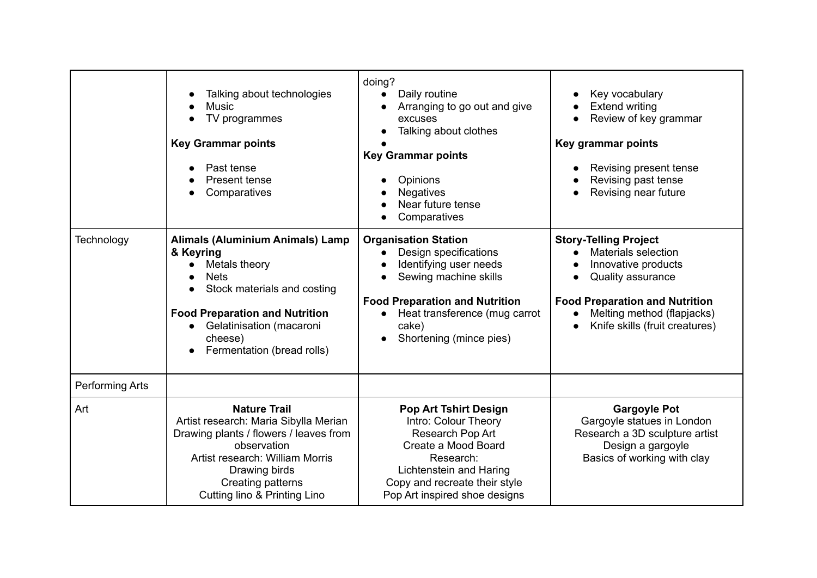|                        | Talking about technologies<br><b>Music</b><br>TV programmes<br><b>Key Grammar points</b><br>Past tense<br>Present tense<br>Comparatives<br>$\bullet$                                                                                           | doing?<br>Daily routine<br>$\bullet$<br>Arranging to go out and give<br>excuses<br>Talking about clothes<br><b>Key Grammar points</b><br>Opinions<br><b>Negatives</b><br>Near future tense<br>Comparatives            | Key vocabulary<br><b>Extend writing</b><br>Review of key grammar<br>Key grammar points<br>Revising present tense<br>Revising past tense<br>Revising near future                                                              |
|------------------------|------------------------------------------------------------------------------------------------------------------------------------------------------------------------------------------------------------------------------------------------|-----------------------------------------------------------------------------------------------------------------------------------------------------------------------------------------------------------------------|------------------------------------------------------------------------------------------------------------------------------------------------------------------------------------------------------------------------------|
| Technology             | <b>Alimals (Aluminium Animals) Lamp</b><br>& Keyring<br>Metals theory<br>$\bullet$<br><b>Nets</b><br>Stock materials and costing<br><b>Food Preparation and Nutrition</b><br>Gelatinisation (macaroni<br>cheese)<br>Fermentation (bread rolls) | <b>Organisation Station</b><br>Design specifications<br>Identifying user needs<br>Sewing machine skills<br><b>Food Preparation and Nutrition</b><br>Heat transference (mug carrot<br>cake)<br>Shortening (mince pies) | <b>Story-Telling Project</b><br><b>Materials selection</b><br>$\bullet$<br>Innovative products<br>Quality assurance<br><b>Food Preparation and Nutrition</b><br>Melting method (flapjacks)<br>Knife skills (fruit creatures) |
| <b>Performing Arts</b> |                                                                                                                                                                                                                                                |                                                                                                                                                                                                                       |                                                                                                                                                                                                                              |
| Art                    | <b>Nature Trail</b><br>Artist research: Maria Sibylla Merian<br>Drawing plants / flowers / leaves from<br>observation<br>Artist research: William Morris<br>Drawing birds<br>Creating patterns<br><b>Cutting lino &amp; Printing Lino</b>      | <b>Pop Art Tshirt Design</b><br>Intro: Colour Theory<br>Research Pop Art<br>Create a Mood Board<br>Research:<br>Lichtenstein and Haring<br>Copy and recreate their style<br>Pop Art inspired shoe designs             | <b>Gargoyle Pot</b><br>Gargoyle statues in London<br>Research a 3D sculpture artist<br>Design a gargoyle<br>Basics of working with clay                                                                                      |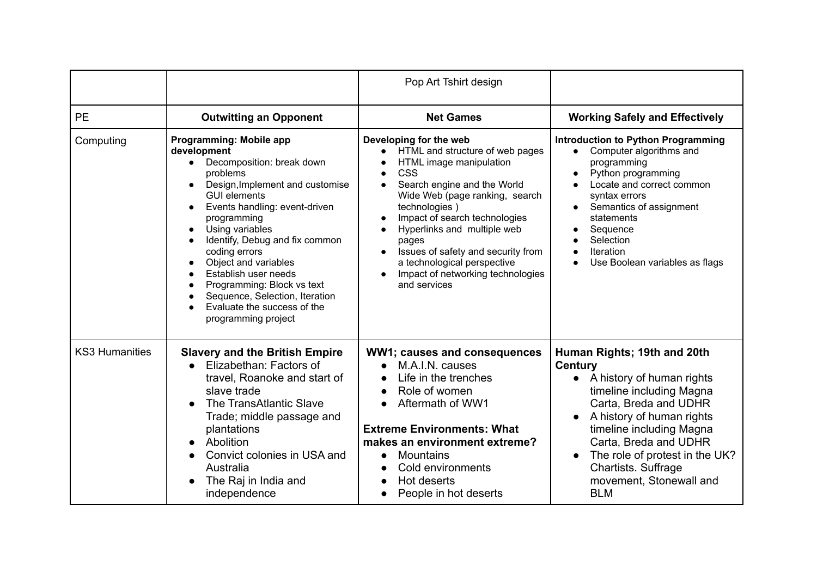|                       |                                                                                                                                                                                                                                                                                                                                                                                                                                                                                                                                  | Pop Art Tshirt design                                                                                                                                                                                                                                                                                                                                                                                             |                                                                                                                                                                                                                                                                                                                                  |
|-----------------------|----------------------------------------------------------------------------------------------------------------------------------------------------------------------------------------------------------------------------------------------------------------------------------------------------------------------------------------------------------------------------------------------------------------------------------------------------------------------------------------------------------------------------------|-------------------------------------------------------------------------------------------------------------------------------------------------------------------------------------------------------------------------------------------------------------------------------------------------------------------------------------------------------------------------------------------------------------------|----------------------------------------------------------------------------------------------------------------------------------------------------------------------------------------------------------------------------------------------------------------------------------------------------------------------------------|
| PE                    | <b>Outwitting an Opponent</b>                                                                                                                                                                                                                                                                                                                                                                                                                                                                                                    | <b>Net Games</b>                                                                                                                                                                                                                                                                                                                                                                                                  | <b>Working Safely and Effectively</b>                                                                                                                                                                                                                                                                                            |
| Computing             | Programming: Mobile app<br>development<br>Decomposition: break down<br>$\bullet$<br>problems<br>Design, Implement and customise<br>$\bullet$<br><b>GUI elements</b><br>Events handling: event-driven<br>programming<br>Using variables<br>Identify, Debug and fix common<br>$\bullet$<br>coding errors<br>Object and variables<br>$\bullet$<br>Establish user needs<br>$\bullet$<br>Programming: Block vs text<br>$\bullet$<br>Sequence, Selection, Iteration<br>$\bullet$<br>Evaluate the success of the<br>programming project | Developing for the web<br>HTML and structure of web pages<br>HTML image manipulation<br><b>CSS</b><br>$\bullet$<br>Search engine and the World<br>Wide Web (page ranking, search<br>technologies)<br>Impact of search technologies<br>Hyperlinks and multiple web<br>$\bullet$<br>pages<br>Issues of safety and security from<br>a technological perspective<br>Impact of networking technologies<br>and services | <b>Introduction to Python Programming</b><br>Computer algorithms and<br>$\bullet$<br>programming<br>Python programming<br>Locate and correct common<br>syntax errors<br>Semantics of assignment<br>statements<br>Sequence<br>Selection<br>Iteration<br>Use Boolean variables as flags                                            |
| <b>KS3 Humanities</b> | <b>Slavery and the British Empire</b><br>Elizabethan: Factors of<br>travel, Roanoke and start of<br>slave trade<br>The TransAtlantic Slave<br>Trade; middle passage and<br>plantations<br>Abolition<br>$\bullet$<br>Convict colonies in USA and<br>Australia<br>The Raj in India and<br>independence                                                                                                                                                                                                                             | WW1; causes and consequences<br>M.A.I.N. causes<br>Life in the trenches<br>Role of women<br>Aftermath of WW1<br><b>Extreme Environments: What</b><br>makes an environment extreme?<br><b>Mountains</b><br>$\bullet$<br>Cold environments<br>Hot deserts<br>$\bullet$<br>People in hot deserts                                                                                                                     | Human Rights; 19th and 20th<br><b>Century</b><br>A history of human rights<br>$\bullet$<br>timeline including Magna<br>Carta, Breda and UDHR<br>A history of human rights<br>timeline including Magna<br>Carta, Breda and UDHR<br>The role of protest in the UK?<br>Chartists. Suffrage<br>movement, Stonewall and<br><b>BLM</b> |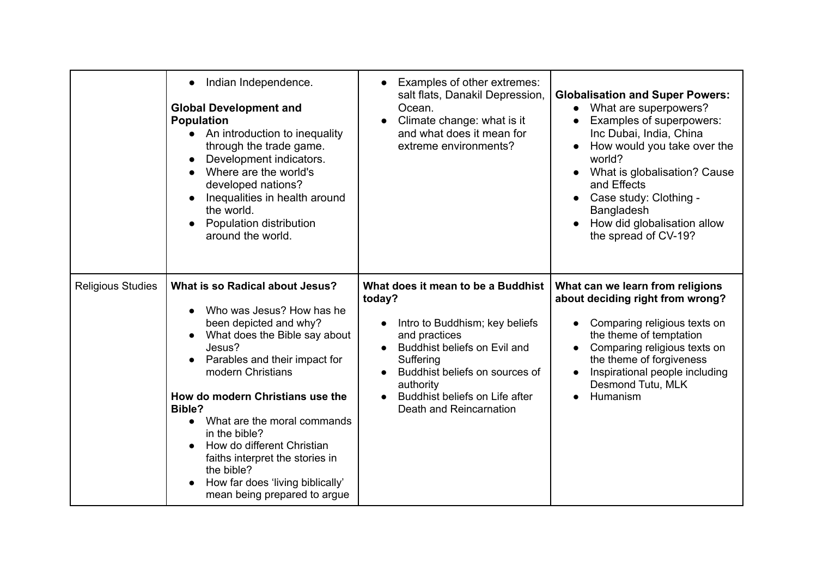|                          | Indian Independence.<br>$\bullet$<br><b>Global Development and</b><br><b>Population</b><br>An introduction to inequality<br>$\bullet$<br>through the trade game.<br>Development indicators.<br>Where are the world's<br>developed nations?<br>Inequalities in health around<br>the world.<br>Population distribution<br>around the world.                                                                                                | Examples of other extremes:<br>$\bullet$<br>salt flats, Danakil Depression,<br>Ocean.<br>Climate change: what is it<br>$\bullet$<br>and what does it mean for<br>extreme environments?                                                                                | <b>Globalisation and Super Powers:</b><br>• What are superpowers?<br>Examples of superpowers:<br>Inc Dubai, India, China<br>How would you take over the<br>world?<br>What is globalisation? Cause<br>and Effects<br>Case study: Clothing -<br>Bangladesh<br>How did globalisation allow<br>the spread of CV-19? |
|--------------------------|------------------------------------------------------------------------------------------------------------------------------------------------------------------------------------------------------------------------------------------------------------------------------------------------------------------------------------------------------------------------------------------------------------------------------------------|-----------------------------------------------------------------------------------------------------------------------------------------------------------------------------------------------------------------------------------------------------------------------|-----------------------------------------------------------------------------------------------------------------------------------------------------------------------------------------------------------------------------------------------------------------------------------------------------------------|
| <b>Religious Studies</b> | What is so Radical about Jesus?<br>Who was Jesus? How has he<br>been depicted and why?<br>What does the Bible say about<br>Jesus?<br>Parables and their impact for<br>modern Christians<br>How do modern Christians use the<br>Bible?<br>What are the moral commands<br>in the bible?<br>How do different Christian<br>faiths interpret the stories in<br>the bible?<br>How far does 'living biblically'<br>mean being prepared to argue | What does it mean to be a Buddhist<br>today?<br>Intro to Buddhism; key beliefs<br>$\bullet$<br>and practices<br>Buddhist beliefs on Evil and<br>Suffering<br>Buddhist beliefs on sources of<br>authority<br>Buddhist beliefs on Life after<br>Death and Reincarnation | What can we learn from religions<br>about deciding right from wrong?<br>Comparing religious texts on<br>the theme of temptation<br>Comparing religious texts on<br>the theme of forgiveness<br>Inspirational people including<br>Desmond Tutu, MLK<br>Humanism                                                  |